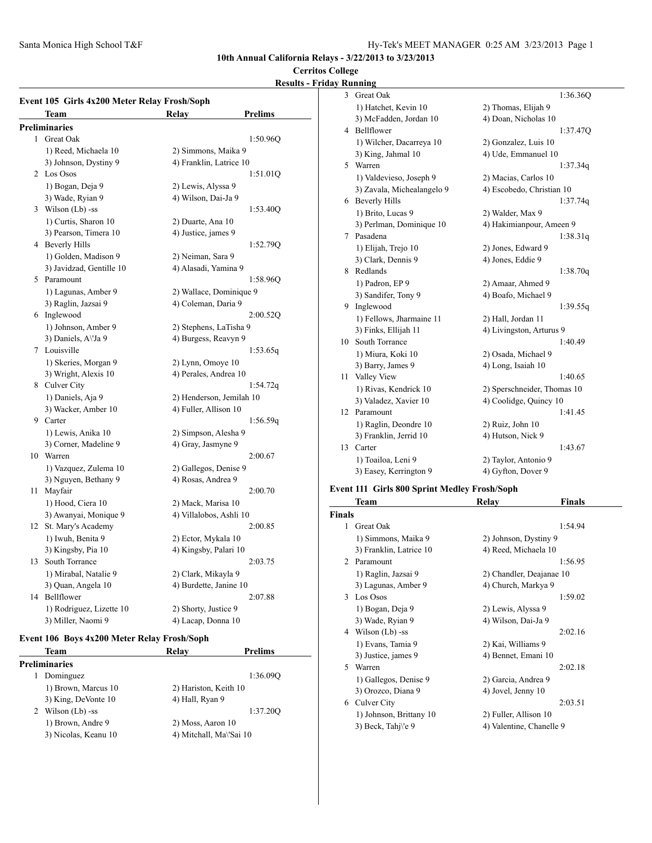### **Cerritos College**

## **Results - Friday Running**

|    | Event 105 Girls 4x200 Meter Relay Frosh/Soph |                          |          |
|----|----------------------------------------------|--------------------------|----------|
|    | Team                                         | Relav<br>Prelims         |          |
|    | Preliminaries                                |                          |          |
| 1  | Great Oak                                    |                          | 1:50.96Q |
|    | 1) Reed, Michaela 10                         | 2) Simmons, Maika 9      |          |
|    | 3) Johnson, Dystiny 9                        | 4) Franklin, Latrice 10  |          |
|    | 2 Los Osos                                   |                          | 1:51.01Q |
|    | 1) Bogan, Deja 9                             | 2) Lewis, Alyssa 9       |          |
|    | 3) Wade, Ryian 9                             | 4) Wilson, Dai-Ja 9      |          |
|    | 3 Wilson (Lb) -ss                            |                          | 1:53.40Q |
|    | 1) Curtis, Sharon 10                         | 2) Duarte, Ana 10        |          |
|    | 3) Pearson, Timera 10                        | 4) Justice, james 9      |          |
|    | 4 Beverly Hills                              |                          | 1:52.79Q |
|    | 1) Golden, Madison 9                         | 2) Neiman, Sara 9        |          |
|    | 3) Javidzad, Gentille 10                     | 4) Alasadi, Yamina 9     |          |
| 5  | Paramount                                    |                          | 1:58.96Q |
|    | 1) Lagunas, Amber 9                          | 2) Wallace, Dominique 9  |          |
|    | 3) Raglin, Jazsai 9                          | 4) Coleman, Daria 9      |          |
|    | 6 Inglewood                                  |                          | 2:00.52Q |
|    | 1) Johnson, Amber 9                          | 2) Stephens, LaTisha 9   |          |
|    | 3) Daniels, A\'Ja 9                          | 4) Burgess, Reavyn 9     |          |
|    | 7 Louisville                                 |                          | 1:53.65q |
|    | 1) Skeries, Morgan 9                         | 2) Lynn, Omoye 10        |          |
|    | 3) Wright, Alexis 10                         | 4) Perales, Andrea 10    |          |
| 8  | Culver City                                  |                          | 1:54.72q |
|    | 1) Daniels, Aja 9                            | 2) Henderson, Jemilah 10 |          |
|    | 3) Wacker, Amber 10                          | 4) Fuller, Allison 10    |          |
|    | 9 Carter                                     |                          | 1:56.59q |
|    | 1) Lewis, Anika 10                           | 2) Simpson, Alesha 9     |          |
|    | 3) Corner, Madeline 9                        | 4) Gray, Jasmyne 9       |          |
| 10 | Warren                                       | 2:00.67                  |          |
|    | 1) Vazquez, Zulema 10                        | 2) Gallegos, Denise 9    |          |
|    | 3) Nguyen, Bethany 9                         | 4) Rosas, Andrea 9       |          |
| 11 | Mayfair                                      | 2:00.70                  |          |
|    | 1) Hood, Ciera 10                            | 2) Mack, Marisa 10       |          |
|    | 3) Awanyai, Monique 9                        | 4) Villalobos, Ashli 10  |          |
| 12 | St. Mary's Academy                           | 2:00.85                  |          |
|    | 1) Iwuh, Benita 9                            | 2) Ector, Mykala 10      |          |
|    | 3) Kingsby, Pia 10                           | 4) Kingsby, Palari 10    |          |
| 13 | South Torrance                               | 2:03.75                  |          |
|    | 1) Mirabal, Natalie 9                        | 2) Clark, Mikayla 9      |          |
|    | 3) Quan, Angela 10                           | 4) Burdette, Janine 10   |          |
| 14 | Bellflower                                   | 2:07.88                  |          |
|    | 1) Rodriguez, Lizette 10                     | 2) Shorty, Justice 9     |          |
|    | 3) Miller, Naomi 9                           | 4) Lacap, Donna 10       |          |

## **Event 106 Boys 4x200 Meter Relay Frosh/Soph**

|   | Team                 | Relav                   | <b>Prelims</b> |  |
|---|----------------------|-------------------------|----------------|--|
|   | <b>Preliminaries</b> |                         |                |  |
|   | Dominguez            |                         | 1:36.090       |  |
|   | 1) Brown, Marcus 10  | 2) Hariston, Keith 10   |                |  |
|   | 3) King, DeVonte 10  | 4) Hall, Ryan 9         |                |  |
| 2 | Wilson (Lb) -ss      |                         | 1:37.200       |  |
|   | 1) Brown, Andre 9    | 2) Moss, Aaron 10       |                |  |
|   | 3) Nicolas, Keanu 10 | 4) Mitchall, Ma\'Sai 10 |                |  |
|   |                      |                         |                |  |

| 3  | Great Oak                  | 1:36.36Q                    |
|----|----------------------------|-----------------------------|
|    | 1) Hatchet, Kevin 10       | 2) Thomas, Elijah 9         |
|    | 3) McFadden, Jordan 10     | 4) Doan, Nicholas 10        |
| 4  | Bellflower                 | 1:37.470                    |
|    | 1) Wilcher, Dacarreya 10   | 2) Gonzalez, Luis 10        |
|    | 3) King, Jahmal 10         | 4) Ude, Emmanuel 10         |
| 5. | Warren                     | 1:37.34q                    |
|    | 1) Valdevieso, Joseph 9    | 2) Macias, Carlos 10        |
|    | 3) Zavala, Michealangelo 9 | 4) Escobedo, Christian 10   |
| 6  | <b>Beverly Hills</b>       | 1:37.74q                    |
|    | 1) Brito, Lucas 9          | 2) Walder, Max 9            |
|    | 3) Perlman, Dominique 10   | 4) Hakimianpour, Ameen 9    |
| 7  | Pasadena                   | 1:38.31q                    |
|    | 1) Elijah, Trejo 10        | 2) Jones, Edward 9          |
|    | 3) Clark, Dennis 9         | 4) Jones, Eddie 9           |
| 8  | Redlands                   | 1:38.70q                    |
|    | 1) Padron, EP 9            | 2) Amaar, Ahmed 9           |
|    | 3) Sandifer, Tony 9        | 4) Boafo, Michael 9         |
| 9  | Inglewood                  | 1:39.55q                    |
|    | 1) Fellows, Jharmaine 11   | 2) Hall, Jordan 11          |
|    | 3) Finks, Ellijah 11       | 4) Livingston, Arturus 9    |
| 10 | South Torrance             | 1:40.49                     |
|    | 1) Miura, Koki 10          | 2) Osada, Michael 9         |
|    | 3) Barry, James 9          | 4) Long, Isaiah 10          |
| 11 | Valley View                | 1:40.65                     |
|    | 1) Rivas, Kendrick 10      | 2) Sperschneider, Thomas 10 |
|    | 3) Valadez, Xavier 10      | 4) Coolidge, Quincy 10      |
| 12 | Paramount                  | 1:41.45                     |
|    | 1) Raglin, Deondre 10      | 2) Ruiz, John 10            |
|    | 3) Franklin, Jerrid 10     | 4) Hutson, Nick 9           |
| 13 | Carter                     | 1:43.67                     |
|    | 1) Toailoa, Leni 9         | 2) Taylor, Antonio 9        |
|    | 3) Easey, Kerrington 9     | 4) Gyfton, Dover 9          |

# **Event 111 Girls 800 Sprint Medley Frosh/Soph**

|                | Team                        | Relay                    | Finals  |
|----------------|-----------------------------|--------------------------|---------|
| <b>Finals</b>  |                             |                          |         |
|                | 1 Great Oak                 |                          | 1:54.94 |
|                | 1) Simmons, Maika 9         | 2) Johnson, Dystiny 9    |         |
|                | 3) Franklin, Latrice 10     | 4) Reed, Michaela 10     |         |
| $\mathfrak{D}$ | Paramount                   |                          | 1:56.95 |
|                | 1) Raglin, Jazsai 9         | 2) Chandler, Deajanae 10 |         |
|                | 3) Lagunas, Amber 9         | 4) Church, Markya 9      |         |
|                | 3 Los Osos                  |                          | 1:59.02 |
|                | 1) Bogan, Deja 9            | 2) Lewis, Alyssa 9       |         |
|                | 3) Wade, Ryian 9            | 4) Wilson, Dai-Ja 9      |         |
|                | 4 Wilson (Lb) -ss           |                          | 2:02.16 |
|                | 1) Evans, Tamia 9           | 2) Kai, Williams 9       |         |
|                | 3) Justice, james 9         | 4) Bennet, Emani 10      |         |
| 5              | Warren                      |                          | 2:02.18 |
|                | 1) Gallegos, Denise 9       | 2) Garcia, Andrea 9      |         |
|                | 3) Orozco, Diana 9          | 4) Jovel, Jenny 10       |         |
| 6              | Culver City                 |                          | 2:03.51 |
|                | 1) Johnson, Brittany 10     | 2) Fuller, Allison 10    |         |
|                | 3) Beck, Tahi $\forall$ e 9 | 4) Valentine, Chanelle 9 |         |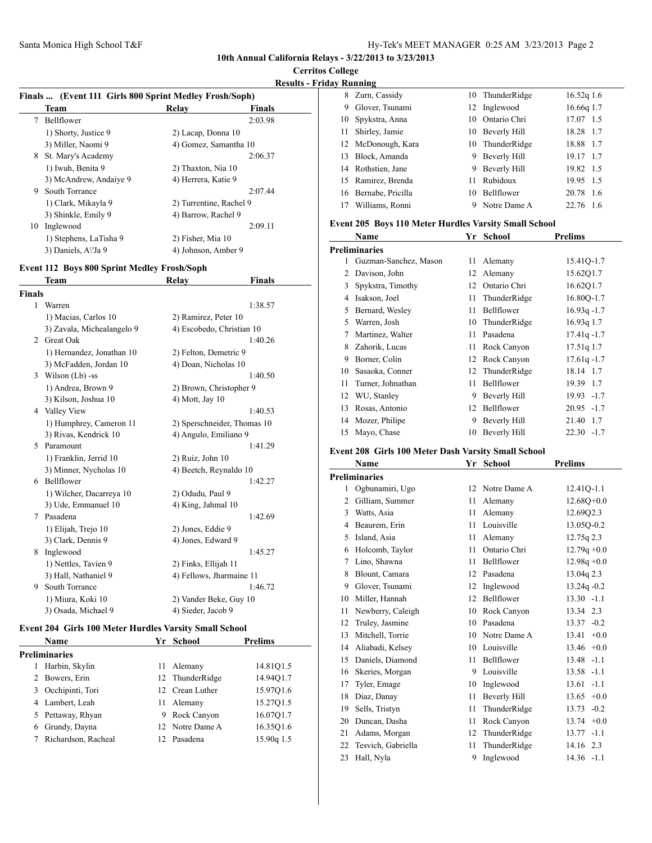**Cerritos College**

### **Results - Friday Running**

|    | Finals  (Event 111 Girls 800 Sprint Medley Frosh/Soph) |                         |               |  |  |  |
|----|--------------------------------------------------------|-------------------------|---------------|--|--|--|
|    | Team                                                   | Relay                   | <b>Finals</b> |  |  |  |
| 7  | Bellflower                                             |                         | 2:03.98       |  |  |  |
|    | 1) Shorty, Justice 9                                   | 2) Lacap, Donna 10      |               |  |  |  |
|    | 3) Miller, Naomi 9                                     | 4) Gomez, Samantha 10   |               |  |  |  |
| 8  | St. Mary's Academy                                     |                         | 2:06.37       |  |  |  |
|    | 1) Iwuh, Benita 9                                      | 2) Thaxton, Nia 10      |               |  |  |  |
|    | 3) McAndrew, Andaiye 9                                 | 4) Herrera, Katie 9     |               |  |  |  |
| 9  | South Torrance                                         |                         | 2:07.44       |  |  |  |
|    | 1) Clark, Mikayla 9                                    | 2) Turrentine, Rachel 9 |               |  |  |  |
|    | 3) Shinkle, Emily 9                                    | 4) Barrow, Rachel 9     |               |  |  |  |
| 10 | Inglewood                                              |                         | 2:09.11       |  |  |  |
|    | 1) Stephens, LaTisha 9                                 | 2) Fisher, Mia 10       |               |  |  |  |
|    | 3) Daniels, A\'Ja 9                                    | 4) Johnson, Amber 9     |               |  |  |  |

#### **Event 112 Boys 800 Sprint Medley Frosh/Soph**

|               | Team                       | Relay                       | <b>Finals</b> |
|---------------|----------------------------|-----------------------------|---------------|
| <b>Finals</b> |                            |                             |               |
| 1             | Warren                     |                             | 1:38.57       |
|               | 1) Macias, Carlos 10       | 2) Ramirez, Peter 10        |               |
|               | 3) Zavala, Michealangelo 9 | 4) Escobedo, Christian 10   |               |
|               | 2 Great Oak                |                             | 1:40.26       |
|               | 1) Hernandez, Jonathan 10  | 2) Felton, Demetric 9       |               |
|               | 3) McFadden, Jordan 10     | 4) Doan, Nicholas 10        |               |
|               | 3 Wilson (Lb) -ss          |                             | 1:40.50       |
|               | 1) Andrea, Brown 9         | 2) Brown, Christopher 9     |               |
|               | 3) Kilson, Joshua 10       | 4) Mott, Jay 10             |               |
|               | 4 Valley View              |                             | 1:40.53       |
|               | 1) Humphrey, Cameron 11    | 2) Sperschneider, Thomas 10 |               |
|               | 3) Rivas, Kendrick 10      | 4) Angulo, Emiliano 9       |               |
|               | 5 Paramount                |                             | 1:41.29       |
|               | 1) Franklin, Jerrid 10     | 2) Ruiz, John 10            |               |
|               | 3) Minner, Nycholas 10     | 4) Beetch, Reynaldo 10      |               |
| 6.            | Bellflower                 |                             | 1:42.27       |
|               | 1) Wilcher, Dacarreya 10   | 2) Odudu, Paul 9            |               |
|               | 3) Ude, Emmanuel 10        | 4) King, Jahmal 10          |               |
|               | 7 Pasadena                 |                             | 1:42.69       |
|               | 1) Elijah, Trejo 10        | 2) Jones, Eddie 9           |               |
|               | 3) Clark, Dennis 9         | 4) Jones, Edward 9          |               |
| 8             | Inglewood                  |                             | 1:45.27       |
|               | 1) Nettles, Tavien 9       | 2) Finks, Ellijah 11        |               |
|               | 3) Hall, Nathaniel 9       | 4) Fellows, Jharmaine 11    |               |
|               | 9 South Torrance           |                             | 1:46.72       |
|               | 1) Miura, Koki 10          | 2) Vander Beke, Guy 10      |               |
|               | 3) Osada, Michael 9        | 4) Sieder, Jacob 9          |               |
|               |                            |                             |               |

## **Event 204 Girls 100 Meter Hurdles Varsity Small School**

|   | <b>Name</b>         |     | Yr School       | Prelims    |  |
|---|---------------------|-----|-----------------|------------|--|
|   | Preliminaries       |     |                 |            |  |
|   | Harbin, Skylin      | 11. | Alemany         | 14.81Q1.5  |  |
| 2 | Bowers, Erin        |     | 12 ThunderRidge | 14.94Q1.7  |  |
| 3 | Occhipinti, Tori    |     | 12 Crean Luther | 15.9701.6  |  |
|   | 4 Lambert, Leah     |     | 11 Alemany      | 15.2701.5  |  |
|   | 5 Pettaway, Rhyan   | 9   | Rock Canyon     | 16.07Q1.7  |  |
| 6 | Grundy, Dayna       |     | 12 Notre Dame A | 16.35Q1.6  |  |
|   | Richardson, Racheal | 12. | Pasadena        | 15.90g 1.5 |  |
|   |                     |     |                 |            |  |

|    | 8 Zurn, Cassidy    | 10 | ThunderRidge      | $16.52q$ 1.6 |
|----|--------------------|----|-------------------|--------------|
| 9  | Glover, Tsunami    |    | 12 Inglewood      | 16.66q 1.7   |
|    | 10 Spykstra, Anna  | 10 | Ontario Chri      | 17.07 1.5    |
| 11 | Shirley, Jamie     | 10 | Beverly Hill      | 18.28 1.7    |
|    | 12 McDonough, Kara |    | 10 ThunderRidge   | 18.88 1.7    |
| 13 | Block, Amanda      | 9  | Beverly Hill      | 19.17 1.7    |
|    | 14 Rothstien, Jane | 9  | Beverly Hill      | 19.82 1.5    |
|    | 15 Ramirez, Brenda | 11 | Rubidoux          | 19.95 1.5    |
| 16 | Bernabe, Pricilla  | 10 | <b>Bellflower</b> | 20.78 1.6    |
|    | Williams, Ronni    | 9  | Notre Dame A      | 22.76<br>-16 |

### **Event 205 Boys 110 Meter Hurdles Varsity Small School**

|    | Name                  | Yr | <b>School</b> | <b>Prelims</b>  |
|----|-----------------------|----|---------------|-----------------|
|    | <b>Preliminaries</b>  |    |               |                 |
| 1  | Guzman-Sanchez, Mason | 11 | Alemany       | 15.41Q-1.7      |
| 2  | Davison, John         | 12 | Alemany       | 15.62Q1.7       |
| 3  | Spykstra, Timothy     | 12 | Ontario Chri  | 16.62Q1.7       |
| 4  | Isakson, Joel         | 11 | ThunderRidge  | 16.80Q-1.7      |
| 5  | Bernard, Wesley       | 11 | Bellflower    | $16.93q - 1.7$  |
| 5  | Warren, Josh          | 10 | ThunderRidge  | 16.93q 1.7      |
| 7  | Martinez, Walter      | 11 | Pasadena      | $17.41q - 1.7$  |
| 8  | Zahorik, Lucas        | 11 | Rock Canyon   | 17.51g 1.7      |
| 9  | Borner, Colin         | 12 | Rock Canyon   | $17.61q - 1.7$  |
| 10 | Sasaoka, Conner       | 12 | ThunderRidge  | 18.14 1.7       |
| 11 | Turner, Johnathan     | 11 | Bellflower    | 19.39 1.7       |
| 12 | WU, Stanley           | 9  | Beverly Hill  | $19.93 - 1.7$   |
| 13 | Rosas, Antonio        | 12 | Bellflower    | 20.95<br>$-1.7$ |
| 14 | Mozer, Philipe        | 9  | Beverly Hill  | 21.40 1.7       |
| 15 | Mayo, Chase           | 10 | Beverly Hill  | $22.30 -1.7$    |

## **Event 208 Girls 100 Meter Dash Varsity Small School**

|                | Name                 | Yr | <b>School</b> | <b>Prelims</b>  |
|----------------|----------------------|----|---------------|-----------------|
|                | <b>Preliminaries</b> |    |               |                 |
| 1              | Ogbunamiri, Ugo      | 12 | Notre Dame A  | 12.41Q-1.1      |
| $\overline{c}$ | Gilliam, Summer      | 11 | Alemany       | $12.68Q + 0.0$  |
| 3              | Watts, Asia          | 11 | Alemany       | 12.69Q2.3       |
| 4              | Beaurem, Erin        | 11 | Louisville    | 13.05Q-0.2      |
| 5              | Island, Asia         | 11 | Alemany       | $12.75q$ $2.3$  |
| 6              | Holcomb, Taylor      | 11 | Ontario Chri  | $12.79q + 0.0$  |
| 7              | Lino, Shawna         | 11 | Bellflower    | $12.98q + 0.0$  |
| 8              | Blount, Camara       | 12 | Pasadena      | 13.04g 2.3      |
| 9              | Glover, Tsunami      | 12 | Inglewood     | $13.24q - 0.2$  |
| 10             | Miller, Hannah       | 12 | Bellflower    | $13.30 - 1.1$   |
| 11             | Newberry, Caleigh    | 10 | Rock Canyon   | 13.34 2.3       |
| 12             | Truley, Jasmine      | 10 | Pasadena      | $13.37 -0.2$    |
| 13             | Mitchell, Torrie     | 10 | Notre Dame A  | 13.41<br>$+0.0$ |
| 14             | Aliabadi, Kelsey     | 10 | Louisville    | $13.46 + 0.0$   |
| 15             | Daniels, Diamond     | 11 | Bellflower    | $13.48 - 1.1$   |
| 16             | Skeries, Morgan      | 9  | Louisville    | $13.58 - 1.1$   |
| 17             | Tyler, Emage         | 10 | Inglewood     | 13.61<br>$-1.1$ |
| 18             | Diaz, Danay          | 11 | Beverly Hill  | 13.65<br>$+0.0$ |
| 19             | Sells, Tristyn       | 11 | ThunderRidge  | 13.73<br>$-0.2$ |
| 20             | Duncan, Dasha        | 11 | Rock Canyon   | $13.74 +0.0$    |
| 21             | Adams, Morgan        | 12 | ThunderRidge  | $-1.1$<br>13.77 |
| 22             | Tesvich, Gabriella   | 11 | ThunderRidge  | 14.16 2.3       |
| 23             | Hall, Nyla           | 9  | Inglewood     | $14.36 - 1.1$   |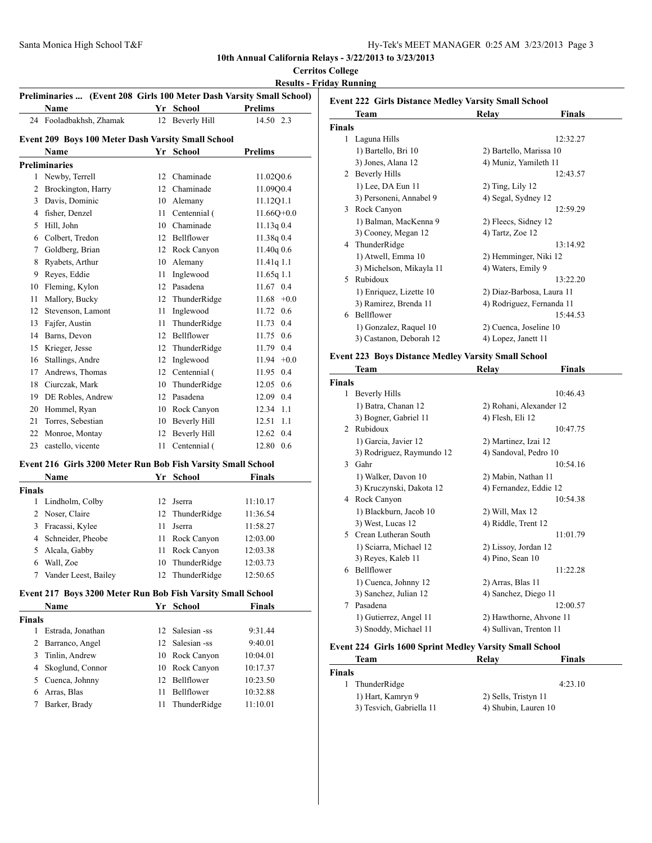## **Cerritos College**

**Results - Friday Running**

| Preliminaries  (Event 208 Girls 100 Meter Dash Varsity Small School) |                                                              |    |                     |                |  |
|----------------------------------------------------------------------|--------------------------------------------------------------|----|---------------------|----------------|--|
|                                                                      | Name                                                         |    | Yr School           | <b>Prelims</b> |  |
|                                                                      | 24 Fooladbakhsh, Zhamak                                      | 12 | Beverly Hill        | 14.50 2.3      |  |
|                                                                      |                                                              |    |                     |                |  |
|                                                                      | Event 209 Boys 100 Meter Dash Varsity Small School<br>Name   |    | Yr School           | <b>Prelims</b> |  |
|                                                                      |                                                              |    |                     |                |  |
| 1                                                                    | <b>Preliminaries</b><br>Newby, Terrell                       | 12 | Chaminade           | 11.02Q0.6      |  |
| 2                                                                    | Brockington, Harry                                           | 12 | Chaminade           | 11.09Q0.4      |  |
| 3                                                                    | Davis, Dominic                                               | 10 | Alemany             | 11.12Q1.1      |  |
|                                                                      | 4 fisher, Denzel                                             | 11 | Centennial (        | $11.66Q+0.0$   |  |
|                                                                      |                                                              |    |                     |                |  |
|                                                                      | 5 Hill, John                                                 | 10 | Chaminade           | 11.13q0.4      |  |
|                                                                      | 6 Colbert, Tredon                                            |    | 12 Bellflower       | 11.38q 0.4     |  |
| 7                                                                    | Goldberg, Brian                                              | 12 | Rock Canyon         | 11.40q0.6      |  |
| 8                                                                    | Ryabets, Arthur                                              | 10 | Alemany             | 11.41q 1.1     |  |
| 9                                                                    | Reyes, Eddie                                                 | 11 | Inglewood           | 11.65q 1.1     |  |
| 10                                                                   | Fleming, Kylon                                               | 12 | Pasadena            | 11.67 0.4      |  |
| 11                                                                   | Mallory, Bucky                                               | 12 | ThunderRidge        | $11.68 + 0.0$  |  |
| 12                                                                   | Stevenson, Lamont                                            | 11 | Inglewood           | 11.72 0.6      |  |
| 13                                                                   | Fajfer, Austin                                               | 11 | ThunderRidge        | 11.73 0.4      |  |
| 14                                                                   | Barns, Devon                                                 | 12 | Bellflower          | 11.75 0.6      |  |
|                                                                      | 15 Krieger, Jesse                                            | 12 | ThunderRidge        | 11.79 0.4      |  |
|                                                                      | 16 Stallings, Andre                                          | 12 | Inglewood           | $11.94 +0.0$   |  |
|                                                                      | 17 Andrews, Thomas                                           |    | 12 Centennial (     | 11.95 0.4      |  |
|                                                                      | 18 Ciurczak, Mark                                            | 10 | ThunderRidge        | $12.05$ 0.6    |  |
|                                                                      | 19 DE Robles, Andrew                                         | 12 | Pasadena            | 12.09 0.4      |  |
|                                                                      | 20 Hommel, Ryan                                              | 10 | Rock Canyon         | 12.34 1.1      |  |
| 21                                                                   | Torres, Sebestian                                            | 10 | <b>Beverly Hill</b> | 12.51<br>1.1   |  |
| 22                                                                   | Monroe, Montay                                               | 12 | <b>Beverly Hill</b> | 12.62 0.4      |  |
| 23                                                                   | castello, vicente                                            | 11 | Centennial (        | 12.80 0.6      |  |
|                                                                      | Event 216 Girls 3200 Meter Run Bob Fish Varsity Small School |    |                     |                |  |
|                                                                      | Name                                                         |    | Yr School           | Finals         |  |
| Finals                                                               |                                                              |    |                     |                |  |
| 1                                                                    | Lindholm, Colby                                              | 12 | Jserra              | 11:10.17       |  |
| 2                                                                    | Noser, Claire                                                | 12 | ThunderRidge        | 11:36.54       |  |
| 3                                                                    | Fracassi, Kylee                                              | 11 | Jserra              | 11:58.27       |  |
|                                                                      | 4 Schneider, Pheobe                                          | 11 | Rock Canyon         | 12:03.00       |  |
|                                                                      | 5 Alcala, Gabby                                              | 11 | Rock Canyon         | 12:03.38       |  |
|                                                                      | 6 Wall, Zoe                                                  |    | 10 ThunderRidge     | 12:03.73       |  |
|                                                                      | 7 Vander Leest, Bailey                                       |    | 12 ThunderRidge     | 12:50.65       |  |
|                                                                      | Event 217 Boys 3200 Meter Run Bob Fish Varsity Small School  |    |                     |                |  |
|                                                                      |                                                              |    |                     |                |  |
|                                                                      | Name                                                         |    | Yr School           | <b>Finals</b>  |  |
| <b>Finals</b>                                                        |                                                              |    |                     |                |  |
| 1                                                                    | Estrada, Jonathan                                            | 12 | Salesian -ss        | 9:31.44        |  |
|                                                                      | 2 Barranco, Angel                                            | 12 | Salesian -ss        | 9:40.01        |  |
|                                                                      | 3 Tinlin, Andrew                                             | 10 | Rock Canyon         | 10:04.01       |  |
|                                                                      | 4 Skoglund, Connor                                           | 10 | Rock Canyon         | 10:17.37       |  |
|                                                                      | 5 Cuenca, Johnny                                             | 12 | Bellflower          | 10:23.50       |  |
|                                                                      | 6 Arras, Blas                                                | 11 | Bellflower          | 10:32.88       |  |
| 7                                                                    | Barker, Brady                                                | 11 | ThunderRidge        | 11:10.01       |  |
|                                                                      |                                                              |    |                     |                |  |

|               | Team                     | Relay                   | Finals                    |
|---------------|--------------------------|-------------------------|---------------------------|
| <b>Finals</b> |                          |                         |                           |
| 1             | Laguna Hills             |                         | 12:32.27                  |
|               | 1) Bartello, Bri 10      | 2) Bartello, Marissa 10 |                           |
|               | 3) Jones, Alana 12       | 4) Muniz, Yamileth 11   |                           |
|               | 2 Beverly Hills          |                         | 12:43.57                  |
|               | 1) Lee, DA Eun 11        | $2)$ Ting, Lily 12      |                           |
|               | 3) Personeni, Annabel 9  | 4) Segal, Sydney 12     |                           |
|               | 3 Rock Canyon            |                         | 12:59.29                  |
|               | 1) Balman, MacKenna 9    | 2) Fleecs, Sidney 12    |                           |
|               | 3) Cooney, Megan 12      | 4) Tartz, Zoe 12        |                           |
|               | 4 ThunderRidge           |                         | 13:14.92                  |
|               | 1) Atwell, Emma 10       | 2) Hemminger, Niki 12   |                           |
|               | 3) Michelson, Mikayla 11 | 4) Waters, Emily 9      |                           |
| 5.            | Rubidoux                 |                         | 13:22.20                  |
|               | 1) Enriquez, Lizette 10  |                         | 2) Diaz-Barbosa, Laura 11 |
|               | 3) Ramirez, Brenda 11    |                         | 4) Rodriguez, Fernanda 11 |
| 6             | Bellflower               |                         | 15:44.53                  |
|               | 1) Gonzalez, Raquel 10   | 2) Cuenca, Joseline 10  |                           |
|               | 3) Castanon, Deborah 12  | 4) Lopez, Janett 11     |                           |
|               |                          |                         |                           |

### **Event 223 Boys Distance Medley Varsity Small School**

|               | Team                      | Relay                   | Finals   |
|---------------|---------------------------|-------------------------|----------|
| <b>Finals</b> |                           |                         |          |
| 1             | <b>Beverly Hills</b>      |                         | 10:46.43 |
|               | 1) Batra, Chanan 12       | 2) Rohani, Alexander 12 |          |
|               | 3) Bogner, Gabriel 11     | 4) Flesh, Eli 12        |          |
| $\mathcal{L}$ | Rubidoux                  |                         | 10:47.75 |
|               | 1) Garcia, Javier 12      | 2) Martinez, Izai 12    |          |
|               | 3) Rodriguez, Raymundo 12 | 4) Sandoval, Pedro 10   |          |
| $\mathcal{E}$ | Gahr                      |                         | 10:54.16 |
|               | 1) Walker, Davon 10       | 2) Mabin, Nathan 11     |          |
|               | 3) Kruczynski, Dakota 12  | 4) Fernandez, Eddie 12  |          |
| 4             | Rock Canyon               |                         | 10:54.38 |
|               | 1) Blackburn, Jacob 10    | 2) Will, Max 12         |          |
|               | 3) West, Lucas 12         | 4) Riddle, Trent 12     |          |
|               | 5 Crean Lutheran South    |                         | 11:01.79 |
|               | 1) Sciarra, Michael 12    | 2) Lissoy, Jordan 12    |          |
|               | 3) Reyes, Kaleb 11        | 4) Pino, Sean 10        |          |
| 6             | <b>Bellflower</b>         |                         | 11:22.28 |
|               | 1) Cuenca, Johnny 12      | 2) Arras, Blas 11       |          |
|               | 3) Sanchez, Julian 12     | 4) Sanchez, Diego 11    |          |
| 7             | Pasadena                  |                         | 12:00.57 |
|               | 1) Gutierrez, Angel 11    | 2) Hawthorne, Ahvone 11 |          |
|               | 3) Snoddy, Michael 11     | 4) Sullivan, Trenton 11 |          |
|               |                           |                         |          |

## **Event 224 Girls 1600 Sprint Medley Varsity Small School**

| Team                     | Relay                | <b>Finals</b> |
|--------------------------|----------------------|---------------|
| <b>Finals</b>            |                      |               |
| ThunderRidge             |                      | 4:23.10       |
| 1) Hart, Kamryn 9        | 2) Sells, Tristyn 11 |               |
| 3) Tesvich, Gabriella 11 | 4) Shubin, Lauren 10 |               |
|                          |                      |               |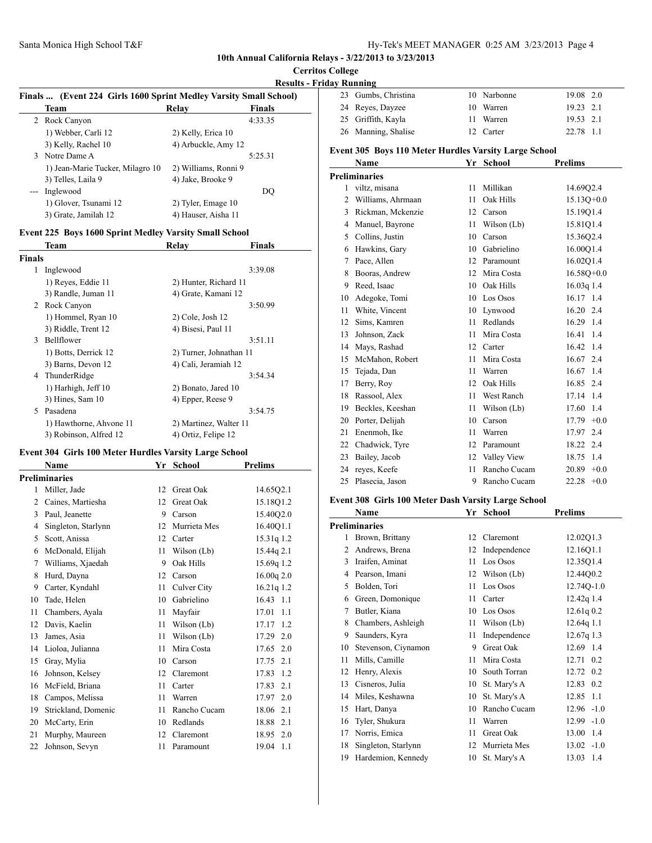## **Cerritos College**

## **Results - Frida**

|       | Finals  (Event 224 Girls 1600 Sprint Medley Varsity Small School) |                      |               |
|-------|-------------------------------------------------------------------|----------------------|---------------|
|       | <b>Team</b>                                                       | Relay                | <b>Finals</b> |
|       | 2 Rock Canyon                                                     |                      | 4:33.35       |
|       | 1) Webber, Carli 12                                               | 2) Kelly, Erica 10   |               |
|       | 3) Kelly, Rachel 10                                               | 4) Arbuckle, Amy 12  |               |
|       | 3 Notre Dame A                                                    |                      | 5:25.31       |
|       | 1) Jean-Marie Tucker, Milagro 10                                  | 2) Williams, Ronni 9 |               |
|       | 3) Telles, Laila 9                                                | 4) Jake, Brooke 9    |               |
| $---$ | Inglewood                                                         |                      | DO            |
|       | 1) Glover, Tsunami 12                                             | 2) Tyler, Emage 10   |               |
|       | 3) Grate, Jamilah 12                                              | 4) Hauser, Aisha 11  |               |

## **Event 225 Boys 1600 Sprint Medley Varsity Small School**<br>Team **Polay**

|        | Team                    | <b>Relay</b>            | <b>Finals</b> |
|--------|-------------------------|-------------------------|---------------|
| Finals |                         |                         |               |
| 1      | Inglewood               |                         | 3:39.08       |
|        | 1) Reyes, Eddie 11      | 2) Hunter, Richard 11   |               |
|        | 3) Randle, Juman 11     | 4) Grate, Kamani 12     |               |
| 2      | Rock Canyon             |                         | 3:50.99       |
|        | 1) Hommel, Ryan 10      | $2)$ Cole, Josh 12      |               |
|        | 3) Riddle, Trent 12     | 4) Bisesi, Paul 11      |               |
| 3      | <b>Bellflower</b>       |                         | 3:51.11       |
|        | 1) Botts, Derrick 12    | 2) Turner, Johnathan 11 |               |
|        | 3) Barns, Devon 12      | 4) Cali, Jeramiah 12    |               |
| 4      | ThunderRidge            |                         | 3:54.34       |
|        | 1) Harhigh, Jeff 10     | 2) Bonato, Jared 10     |               |
|        | $3)$ Hines, Sam $10$    | 4) Epper, Reese 9       |               |
| 5      | Pasadena                |                         | 3:54.75       |
|        | 1) Hawthorne, Ahvone 11 | 2) Martinez, Walter 11  |               |
|        | 3) Robinson, Alfred 12  | 4) Ortiz, Felipe 12     |               |
|        |                         |                         |               |

## **Event 304 Girls 100 Meter Hurdles Varsity Large School**

|                | <b>Name</b>          | Yr | <b>School</b> | <b>Prelims</b> |
|----------------|----------------------|----|---------------|----------------|
|                | <b>Preliminaries</b> |    |               |                |
| 1              | Miller, Jade         | 12 | Great Oak     | 14.65Q2.1      |
| $\overline{c}$ | Caines, Martiesha    | 12 | Great Oak     | 15.18Q1.2      |
| 3              | Paul, Jeanette       | 9  | Carson        | 15.40Q2.0      |
| 4              | Singleton, Starlynn  | 12 | Murrieta Mes  | 16.40Q1.1      |
| 5              | Scott, Anissa        | 12 | Carter        | 15.31q 1.2     |
| 6              | McDonald, Elijah     | 11 | Wilson (Lb)   | 15.44q 2.1     |
| 7              | Williams, Xjaedah    | 9  | Oak Hills     | 15.69q 1.2     |
| 8              | Hurd, Dayna          | 12 | Carson        | 16.00q2.0      |
| 9              | Carter, Kyndahl      | 11 | Culver City   | 16.21q 1.2     |
| 10             | Tade, Helen          | 10 | Gabrielino    | $16.43$ 1.1    |
| 11             | Chambers, Ayala      | 11 | Mayfair       | 17.01<br>1.1   |
| 12             | Davis, Kaelin        | 11 | Wilson (Lb)   | 17.17<br>1.2   |
| 13             | James, Asia          | 11 | Wilson (Lb)   | 17.29<br>2.0   |
| 14             | Lioloa, Julianna     | 11 | Mira Costa    | 17.65<br>2.0   |
| 15             | Gray, Mylia          | 10 | Carson        | 17.75<br>2.1   |
| 16             | Johnson, Kelsey      | 12 | Claremont     | 1.2<br>17.83   |
| 16             | McField, Briana      | 11 | Carter        | 17.83<br>2.1   |
| 18             | Campos, Melissa      | 11 | Warren        | 17.97<br>2.0   |
| 19             | Strickland, Domenic  | 11 | Rancho Cucam  | 18.06<br>2.1   |
| 20             | McCarty, Erin        | 10 | Redlands      | 18.88<br>2.1   |
| 21             | Murphy, Maureen      | 12 | Claremont     | 18.95<br>2.0   |
| 22             | Johnson, Sevyn       | 11 | Paramount     | 19.04<br>1.1   |

|    | lav Running                                           |    |              |                 |
|----|-------------------------------------------------------|----|--------------|-----------------|
| 23 | Gumbs, Christina                                      | 10 | Narbonne     | 2.0<br>19.08    |
| 24 | Reyes, Dayzee                                         | 10 | Warren       | 19.23 2.1       |
| 25 | Griffith, Kayla                                       | 11 | Warren       | 2.1<br>19.53    |
| 26 | Manning, Shalise                                      | 12 | Carter       | 22.78<br>1.1    |
|    | Event 305 Boys 110 Meter Hurdles Varsity Large School |    |              |                 |
|    | Name                                                  |    | Yr School    | <b>Prelims</b>  |
|    | <b>Preliminaries</b>                                  |    |              |                 |
| 1  | viltz, misana                                         | 11 | Millikan     | 14.6902.4       |
| 2  | Williams, Ahrmaan                                     | 11 | Oak Hills    | $15.13Q+0.0$    |
| 3  | Rickman, Mckenzie                                     | 12 | Carson       | 15.19Q1.4       |
| 4  | Manuel, Bayrone                                       | 11 | Wilson (Lb)  | 15.81Q1.4       |
| 5  | Collins, Justin                                       | 10 | Carson       | 15.36Q2.4       |
| 6  | Hawkins, Gary                                         | 10 | Gabrielino   | 16.00Q1.4       |
| 7  | Pace, Allen                                           | 12 | Paramount    | 16.02Q1.4       |
| 8  | Booras, Andrew                                        | 12 | Mira Costa   | $16.58Q+0.0$    |
| 9  | Reed, Isaac                                           | 10 | Oak Hills    | $16.03q$ 1.4    |
| 10 | Adegoke, Tomi                                         | 10 | Los Osos     | 16.17 1.4       |
| 11 | White, Vincent                                        | 10 | Lynwood      | 16.20 2.4       |
| 12 | Sims, Kamren                                          | 11 | Redlands     | 16.29 1.4       |
| 13 | Johnson, Zack                                         | 11 | Mira Costa   | 16.41<br>1.4    |
| 14 | Mays, Rashad                                          | 12 | Carter       | 1.4<br>16.42    |
| 15 | McMahon, Robert                                       | 11 | Mira Costa   | 16.67 2.4       |
| 15 | Tejada, Dan                                           | 11 | Warren       | 16.67 1.4       |
| 17 | Berry, Roy                                            | 12 | Oak Hills    | 2.4<br>16.85    |
| 18 | Rassool, Alex                                         | 11 | West Ranch   | 17.14<br>1.4    |
| 19 | Beckles, Keeshan                                      | 11 | Wilson (Lb)  | 17.60<br>1.4    |
| 20 | Porter, Delijah                                       | 10 | Carson       | $+0.0$<br>17.79 |
| 21 | Enenmoh, Ike                                          | 11 | Warren       | 2.4<br>17.97    |
| 22 | Chadwick, Tyre                                        | 12 | Paramount    | 18.22<br>2.4    |
| 23 | Bailey, Jacob                                         | 12 | Valley View  | 1.4<br>18.75    |
| 24 | reyes, Keefe                                          | 11 | Rancho Cucam | $+0.0$<br>20.89 |
| 25 | Plasecia, Jason                                       | 9  | Rancho Cucam | 22.28<br>$+0.0$ |

#### **Event 308 Girls 100 Meter Dash Varsity Large School**

|                | Name                 | Yr | <b>School</b> | <b>Prelims</b> |
|----------------|----------------------|----|---------------|----------------|
|                | <b>Preliminaries</b> |    |               |                |
| 1              | Brown, Brittany      | 12 | Claremont     | 12.02Q1.3      |
| $\overline{c}$ | Andrews, Brena       | 12 | Independence  | 12.16Q1.1      |
| 3              | Iraifen, Aminat      | 11 | Los Osos      | 12.35Q1.4      |
| 4              | Pearson, Imani       | 12 | Wilson (Lb)   | 12.4400.2      |
| 5              | Bolden, Tori         | 11 | Los Osos      | 12.74Q-1.0     |
| 6              | Green, Domonique     | 11 | Carter        | 12.42g 1.4     |
| 7              | Butler, Kiana        | 10 | Los Osos      | 12.61q0.2      |
| 8              | Chambers, Ashleigh   | 11 | Wilson (Lb)   | 12.64q 1.1     |
| 9              | Saunders, Kyra       | 11 | Independence  | $12.67q$ 1.3   |
| 10             | Stevenson, Ciynamon  | 9  | Great Oak     | 12.69 1.4      |
| 11             | Mills, Camille       | 11 | Mira Costa    | 12.71<br>0.2   |
| 12             | Henry, Alexis        | 10 | South Torran  | 12.72 0.2      |
| 13             | Cisneros, Julia      | 10 | St. Mary's A  | 12.83<br>0.2   |
| 14             | Miles, Keshawna      | 10 | St. Mary's A  | 12.85<br>1.1   |
| 15             | Hart, Danya          | 10 | Rancho Cucam  | $12.96 - 1.0$  |
| 16             | Tyler, Shukura       | 11 | Warren        | $12.99 - 1.0$  |
| 17             | Norris, Emica        | 11 | Great Oak     | 13.00<br>1.4   |
| 18             | Singleton, Starlynn  | 12 | Murrieta Mes  | $13.02 -1.0$   |
| 19             | Hardemion, Kennedy   | 10 | St. Mary's A  | 13.03<br>-1.4  |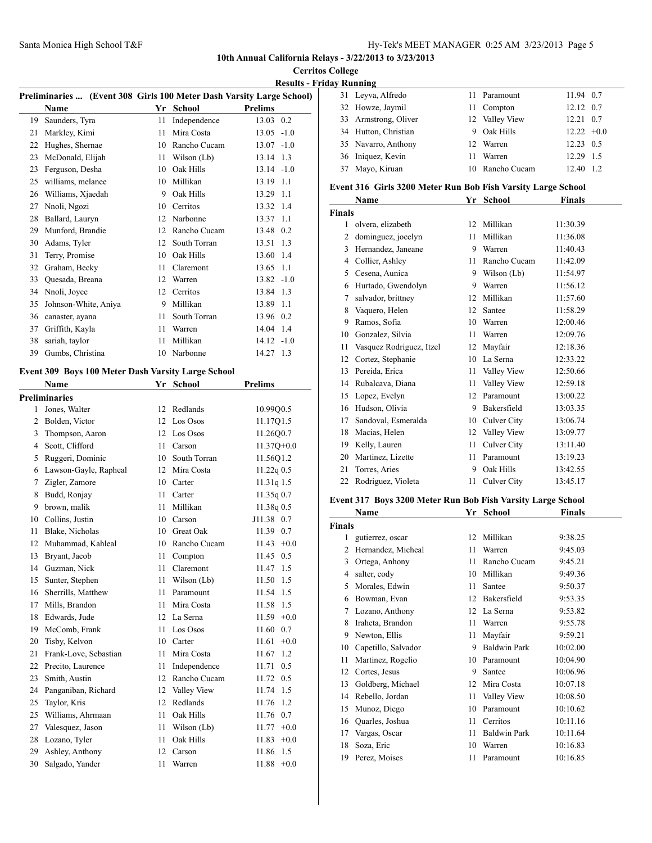## **Cerritos College Results - Frida**

|    | Preliminaries  (Event 308 Girls 100 Meter Dash Varsity Large School) |    |               |                 |
|----|----------------------------------------------------------------------|----|---------------|-----------------|
|    | <b>Name</b>                                                          | Yr | <b>School</b> | <b>Prelims</b>  |
| 19 | Saunders, Tyra                                                       | 11 | Independence  | 13.03 0.2       |
| 21 | Markley, Kimi                                                        | 11 | Mira Costa    | $13.05 -1.0$    |
| 22 | Hughes, Shernae                                                      | 10 | Rancho Cucam  | $-1.0$<br>13.07 |
| 23 | McDonald, Elijah                                                     | 11 | Wilson (Lb)   | 1.3<br>13.14    |
| 23 | Ferguson, Desha                                                      | 10 | Oak Hills     | $13.14 - 1.0$   |
| 25 | williams, melanee                                                    | 10 | Millikan      | 13.19<br>1.1    |
| 26 | Williams, Xjaedah                                                    | 9  | Oak Hills     | 1.1<br>13.29    |
| 27 | Nnoli, Ngozi                                                         | 10 | Cerritos      | 1.4<br>13.32    |
| 28 | Ballard, Lauryn                                                      | 12 | Narbonne      | 13.37<br>1.1    |
| 29 | Munford, Brandie                                                     | 12 | Rancho Cucam  | 13.48 0.2       |
| 30 | Adams, Tyler                                                         | 12 | South Torran  | 13.51<br>1.3    |
| 31 | Terry, Promise                                                       | 10 | Oak Hills     | 1.4<br>13.60    |
| 32 | Graham, Becky                                                        | 11 | Claremont     | 13.65<br>1.1    |
| 33 | Quesada, Breana                                                      | 12 | Warren        | $13.82 - 1.0$   |
| 34 | Nnoli, Joyce                                                         | 12 | Cerritos      | 13.84<br>1.3    |
| 35 | Johnson-White, Aniya                                                 | 9  | Millikan      | 13.89<br>1.1    |
| 36 | canaster, ayana                                                      | 11 | South Torran  | 0.2<br>13.96    |
| 37 | Griffith, Kayla                                                      | 11 | Warren        | 14.04<br>1.4    |
| 38 | sariah, taylor                                                       | 11 | Millikan      | $14.12 - 1.0$   |
| 39 | Gumbs, Christina                                                     | 10 | Narbonne      | 14.27<br>1.3    |

## **Event 309 Boys 100 Meter Dash Varsity Large School**

|    | <b>Name</b>           | Yr              | <b>School</b> | <b>Prelims</b>  |
|----|-----------------------|-----------------|---------------|-----------------|
|    | <b>Preliminaries</b>  |                 |               |                 |
| 1  | Jones, Walter         | 12              | Redlands      | 10.99Q0.5       |
| 2  | Bolden, Victor        | 12              | Los Osos      | 11.17Q1.5       |
| 3  | Thompson, Aaron       | 12              | Los Osos      | 11.26Q0.7       |
| 4  | Scott, Clifford       | 11              | Carson        | $11.37Q+0.0$    |
| 5  | Ruggeri, Dominic      | 10 <sup>1</sup> | South Torran  | 11.56Q1.2       |
| 6  | Lawson-Gayle, Rapheal | 12              | Mira Costa    | $11.22q$ 0.5    |
| 7  | Zigler, Zamore        | 10              | Carter        | 11.31q 1.5      |
| 8  | Budd, Ronjay          | 11              | Carter        | 11.35q0.7       |
| 9  | brown, malik          | 11              | Millikan      | 11.38q 0.5      |
| 10 | Collins, Justin       | 10              | Carson        | J11.38 0.7      |
| 11 | Blake, Nicholas       |                 | 10 Great Oak  | 11.39<br>0.7    |
| 12 | Muhammad, Kahleal     | 10              | Rancho Cucam  | $+0.0$<br>11.43 |
| 13 | Bryant, Jacob         | 11              | Compton       | 11.45<br>0.5    |
|    | 14 Guzman, Nick       | 11              | Claremont     | 11.47 1.5       |
| 15 | Sunter, Stephen       | 11              | Wilson (Lb)   | 11.50 1.5       |
| 16 | Sherrills, Matthew    | 11              | Paramount     | 11.54<br>1.5    |
| 17 | Mills, Brandon        | 11              | Mira Costa    | 11.58 1.5       |
| 18 | Edwards, Jude         |                 | 12 La Serna   | $11.59 + 0.0$   |
| 19 | McComb, Frank         | 11              | Los Osos      | 11.60<br>0.7    |
| 20 | Tisby, Kelvon         |                 | 10 Carter     | 11.61<br>$+0.0$ |
| 21 | Frank-Love, Sebastian | 11              | Mira Costa    | 1.2<br>11.67    |
| 22 | Precito, Laurence     | 11              | Independence  | 11.71<br>0.5    |
| 23 | Smith, Austin         | 12              | Rancho Cucam  | 11.72<br>0.5    |
| 24 | Panganiban, Richard   | 12              | Valley View   | 11.74<br>1.5    |
| 25 | Taylor, Kris          | 12              | Redlands      | 11.76<br>1.2    |
| 25 | Williams, Ahrmaan     | 11              | Oak Hills     | 11.76<br>0.7    |
| 27 | Valesquez, Jason      | 11              | Wilson (Lb)   | $11.77 + 0.0$   |
| 28 | Lozano, Tyler         | 11              | Oak Hills     | $+0.0$<br>11.83 |
| 29 | Ashley, Anthony       | 12              | Carson        | 11.86<br>1.5    |
| 30 | Salgado, Yander       | 11              | Warren        | 11.88<br>$+0.0$ |
|    |                       |                 |               |                 |

|                                                              | av Running           |    |                 |               |     |
|--------------------------------------------------------------|----------------------|----|-----------------|---------------|-----|
|                                                              | 31 Leyva, Alfredo    | 11 | Paramount       | 11.94 0.7     |     |
|                                                              | 32 Howze, Jaymil     | 11 | Compton         | 12.12 0.7     |     |
|                                                              | 33 Armstrong, Oliver |    | 12 Valley View  | 12.21         | 0.7 |
|                                                              | 34 Hutton, Christian | 9  | Oak Hills       | $12.22 + 0.0$ |     |
|                                                              | 35 Navarro, Anthony  |    | 12 Warren       | 12.23 0.5     |     |
|                                                              | 36 Iniquez, Kevin    | 11 | Warren          | 12.29 1.5     |     |
|                                                              | 37 Mayo, Kiruan      |    | 10 Rancho Cucam | 12.40         | 1.2 |
| Event 316 Girls 3200 Meter Run Bob Fish Varsity Large School |                      |    |                 |               |     |
|                                                              | Name                 |    | Yr School       | Finals        |     |

|               | гуаше                    | xг | эспоот       | г шаіз   |  |
|---------------|--------------------------|----|--------------|----------|--|
| <b>Finals</b> |                          |    |              |          |  |
| 1             | olvera, elizabeth        | 12 | Millikan     | 11:30.39 |  |
| 2             | dominguez, jocelyn       | 11 | Millikan     | 11:36.08 |  |
| 3             | Hernandez, Janeane       | 9  | Warren       | 11:40.43 |  |
| 4             | Collier, Ashley          | 11 | Rancho Cucam | 11:42.09 |  |
| 5             | Cesena, Aunica           | 9  | Wilson (Lb)  | 11:54.97 |  |
| 6             | Hurtado, Gwendolyn       | 9  | Warren       | 11:56.12 |  |
| 7             | salvador, brittney       | 12 | Millikan     | 11:57.60 |  |
| 8             | Vaquero, Helen           | 12 | Santee       | 11:58.29 |  |
| 9             | Ramos, Sofia             | 10 | Warren       | 12:00.46 |  |
| 10            | Gonzalez, Silvia         | 11 | Warren       | 12:09.76 |  |
| 11            | Vasquez Rodriguez, Itzel | 12 | Mayfair      | 12:18.36 |  |
| 12            | Cortez, Stephanie        | 10 | La Serna     | 12:33.22 |  |
| 13            | Pereida, Erica           | 11 | Valley View  | 12:50.66 |  |
| 14            | Rubalcava, Diana         | 11 | Valley View  | 12:59.18 |  |
| 15            | Lopez, Evelyn            | 12 | Paramount    | 13:00.22 |  |
| 16            | Hudson, Olivia           | 9  | Bakersfield  | 13:03.35 |  |
| 17            | Sandoval, Esmeralda      | 10 | Culver City  | 13:06.74 |  |
| 18            | Macias, Helen            | 12 | Valley View  | 13:09.77 |  |
| 19            | Kelly, Lauren            | 11 | Culver City  | 13:11.40 |  |
| 20            | Martinez, Lizette        | 11 | Paramount    | 13:19.23 |  |
| 21            | Torres, Aries            | 9  | Oak Hills    | 13:42.55 |  |
| 22            | Rodriguez, Violeta       | 11 | Culver City  | 13:45.17 |  |
|               |                          |    |              |          |  |

## **Event 317 Boys 3200 Meter Run Bob Fish Varsity Large School**

|    | Name                | Yr | <b>School</b>       | Finals   |  |  |
|----|---------------------|----|---------------------|----------|--|--|
|    | <b>Finals</b>       |    |                     |          |  |  |
| 1  | gutierrez, oscar    | 12 | Millikan            | 9:38.25  |  |  |
| 2  | Hernandez, Micheal  | 11 | Warren              | 9:45.03  |  |  |
| 3  | Ortega, Anhony      | 11 | Rancho Cucam        | 9:45.21  |  |  |
| 4  | salter, cody        | 10 | Millikan            | 9:49.36  |  |  |
| 5  | Morales, Edwin      | 11 | Santee              | 9:50.37  |  |  |
| 6  | Bowman, Evan        | 12 | Bakersfield         | 9:53.35  |  |  |
| 7  | Lozano, Anthony     | 12 | La Serna            | 9:53.82  |  |  |
| 8  | Iraheta, Brandon    | 11 | Warren              | 9:55.78  |  |  |
| 9  | Newton, Ellis       | 11 | Mayfair             | 9:59.21  |  |  |
| 10 | Capetillo, Salvador | 9  | <b>Baldwin Park</b> | 10:02.00 |  |  |
| 11 | Martinez, Rogelio   | 10 | Paramount           | 10:04.90 |  |  |
| 12 | Cortes, Jesus       | 9  | Santee              | 10:06.96 |  |  |
| 13 | Goldberg, Michael   | 12 | Mira Costa          | 10:07.18 |  |  |
| 14 | Rebello, Jordan     | 11 | Valley View         | 10:08.50 |  |  |
| 15 | Munoz, Diego        | 10 | Paramount           | 10:10.62 |  |  |
| 16 | Quarles, Joshua     | 11 | Cerritos            | 10:11.16 |  |  |
| 17 | Vargas, Oscar       | 11 | <b>Baldwin Park</b> | 10:11.64 |  |  |
| 18 | Soza, Eric          | 10 | Warren              | 10:16.83 |  |  |
| 19 | Perez, Moises       | 11 | Paramount           | 10:16.85 |  |  |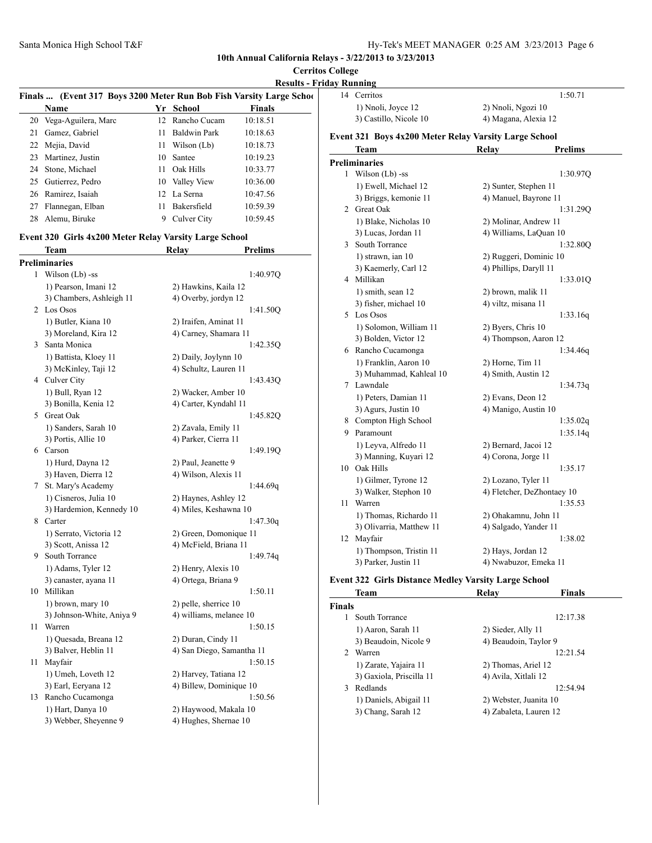|    |                                                                     |    |                                   | <b>Results - Friday</b> |   |
|----|---------------------------------------------------------------------|----|-----------------------------------|-------------------------|---|
|    | Finals  (Event 317 Boys 3200 Meter Run Bob Fish Varsity Large Schoo |    |                                   |                         |   |
|    | Name                                                                |    | Yr School                         | <b>Finals</b>           |   |
|    | 20 Vega-Aguilera, Marc                                              | 12 | Rancho Cucam                      | 10:18.51                |   |
| 21 | Gamez, Gabriel                                                      | 11 | <b>Baldwin Park</b>               | 10:18.63                | E |
|    | 22 Mejia, David                                                     | 11 | Wilson (Lb)                       | 10:18.73                |   |
|    | 23 Martinez, Justin                                                 |    | 10 Santee                         | 10:19.23                | P |
|    | 24 Stone, Michael                                                   | 11 | Oak Hills                         | 10:33.77                |   |
|    | 25 Gutierrez, Pedro                                                 |    | 10 Valley View                    | 10:36.00                |   |
|    | 26 Ramirez, Isaiah                                                  |    | 12 La Serna                       | 10:47.56                |   |
|    | 27 Flannegan, Elban                                                 |    | 11 Bakersfield                    | 10:59.39                |   |
| 28 | Alemu, Biruke                                                       |    | 9 Culver City                     | 10:59.45                |   |
|    | Event 320 Girls 4x200 Meter Relay Varsity Large School              |    |                                   |                         |   |
|    | Team                                                                |    | Relay                             | <b>Prelims</b>          |   |
|    | <b>Preliminaries</b>                                                |    |                                   |                         |   |
|    | 1 Wilson (Lb) -ss                                                   |    |                                   | 1:40.970                |   |
|    | 1) Pearson, Imani 12                                                |    | 2) Hawkins, Kaila 12              |                         |   |
|    | 3) Chambers, Ashleigh 11                                            |    | 4) Overby, jordyn 12              |                         |   |
|    | 2 Los Osos                                                          |    |                                   | 1:41.50Q                |   |
|    | 1) Butler, Kiana 10                                                 |    | 2) Iraifen, Aminat 11             |                         |   |
|    | 3) Moreland, Kira 12                                                |    | 4) Carney, Shamara 11             |                         |   |
|    | 3 Santa Monica                                                      |    |                                   | 1:42.35Q                |   |
|    | 1) Battista, Kloey 11                                               |    | 2) Daily, Joylynn 10              |                         |   |
|    | 3) McKinley, Taji 12                                                |    | 4) Schultz, Lauren 11             |                         |   |
|    | 4 Culver City                                                       |    |                                   | 1:43.43Q                |   |
|    | 1) Bull, Ryan 12                                                    |    | 2) Wacker, Amber 10               |                         |   |
|    | 3) Bonilla, Kenia 12                                                |    | 4) Carter, Kyndahl 11             |                         |   |
|    | 5 Great Oak                                                         |    |                                   | 1:45.82Q                |   |
|    | 1) Sanders, Sarah 10                                                |    | 2) Zavala, Emily 11               |                         |   |
|    | 3) Portis, Allie 10                                                 |    | 4) Parker, Cierra 11              |                         |   |
|    | 6 Carson                                                            |    |                                   | 1:49.19Q                |   |
|    | 1) Hurd, Dayna 12                                                   |    | 2) Paul, Jeanette 9               |                         |   |
|    | 3) Haven, Dierra 12                                                 |    | 4) Wilson, Alexis 11              |                         |   |
| 7  | St. Mary's Academy                                                  |    |                                   | 1:44.69q                |   |
|    | 1) Cisneros, Julia 10                                               |    | 2) Haynes, Ashley 12              |                         |   |
|    | 3) Hardemion, Kennedy 10                                            |    | 4) Miles, Keshawna 10             |                         |   |
|    | 8 Carter                                                            |    |                                   | 1:47.30q                |   |
|    | 1) Serrato, Victoria 12                                             |    | 2) Green, Domonique 11            |                         |   |
|    | 3) Scott, Anissa 12                                                 |    | 4) McField, Briana 11             |                         |   |
|    | 9 South Torrance                                                    |    |                                   | 1:49.74q                |   |
|    | 1) Adams, Tyler 12                                                  |    | 2) Henry, Alexis 10               |                         |   |
|    | 3) canaster, ayana 11                                               |    | 4) Ortega, Briana 9               |                         | E |
|    | 10 Millikan                                                         |    |                                   | 1:50.11                 |   |
|    | 1) brown, mary 10                                                   |    | 2) pelle, sherrice 10             |                         | F |
|    | 3) Johnson-White, Aniya 9                                           |    | 4) williams, melanee 10           |                         |   |
| 11 | Warren                                                              |    |                                   | 1:50.15                 |   |
|    | 1) Quesada, Breana 12                                               |    | 2) Duran, Cindy 11                |                         |   |
|    | 3) Balver, Heblin 11                                                |    | 4) San Diego, Samantha 11         |                         |   |
| 11 | Mayfair                                                             |    |                                   | 1:50.15                 |   |
|    | 1) Umeh, Loveth 12                                                  |    | 2) Harvey, Tatiana 12             |                         |   |
|    | $2)$ Earl Earnana 12                                                |    | $\triangle$ Dillam Daminique $10$ |                         |   |

3) Earl, Eeryana 12 4) Billew, Dominique 10 13 Rancho Cucamonga 1:50.56 1) Hart, Danya 10 2) Haywood, Makala 10 3) Webber, Sheyenne 9 4) Hughes, Shernae 10

| day Running |                                                       |                            |  |
|-------------|-------------------------------------------------------|----------------------------|--|
|             | 14 Cerritos                                           | 1:50.71                    |  |
|             | 1) Nnoli, Joyce 12                                    | 2) Nnoli, Ngozi 10         |  |
|             | 3) Castillo, Nicole 10                                | 4) Magana, Alexia 12       |  |
|             | Event 321 Boys 4x200 Meter Relay Varsity Large School |                            |  |
|             | Team                                                  | <b>Prelims</b><br>Relav    |  |
|             | <b>Preliminaries</b>                                  |                            |  |
|             | 1 Wilson (Lb) -ss                                     | 1:30.97Q                   |  |
|             | 1) Ewell, Michael 12                                  | 2) Sunter, Stephen 11      |  |
|             | 3) Briggs, kemonie 11                                 | 4) Manuel, Bayrone 11      |  |
|             | 2 Great Oak                                           | 1:31.29Q                   |  |
|             | 1) Blake, Nicholas 10                                 | 2) Molinar, Andrew 11      |  |
|             | 3) Lucas, Jordan 11                                   | 4) Williams, LaQuan 10     |  |
|             | 3 South Torrance                                      | 1:32.80Q                   |  |
|             | 1) strawn, ian 10                                     | 2) Ruggeri, Dominic 10     |  |
|             | 3) Kaemerly, Carl 12                                  | 4) Phillips, Daryll 11     |  |
|             | 4 Millikan                                            | 1:33.01Q                   |  |
|             | 1) smith, sean 12                                     | 2) brown, malik 11         |  |
|             | 3) fisher, michael 10                                 | 4) viltz, misana 11        |  |
|             | 5 Los Osos                                            | 1:33.16q                   |  |
|             | 1) Solomon, William 11                                | 2) Byers, Chris 10         |  |
|             | 3) Bolden, Victor 12                                  | 4) Thompson, Aaron 12      |  |
|             | 6 Rancho Cucamonga                                    | 1:34.46q                   |  |
|             | 1) Franklin, Aaron 10                                 | 2) Horne, Tim 11           |  |
|             | 3) Muhammad, Kahleal 10                               | 4) Smith, Austin 12        |  |
|             | 7 Lawndale                                            | 1:34.73q                   |  |
|             | 1) Peters, Damian 11                                  | 2) Evans, Deon 12          |  |
|             | 3) Agurs, Justin 10                                   | 4) Manigo, Austin 10       |  |
|             | 8 Compton High School                                 | 1:35.02q                   |  |
|             | 9 Paramount                                           | 1:35.14q                   |  |
|             | 1) Leyva, Alfredo 11                                  | 2) Bernard, Jacoi 12       |  |
|             | 3) Manning, Kuyari 12                                 | 4) Corona, Jorge 11        |  |
|             | 10 Oak Hills                                          | 1:35.17                    |  |
|             | 1) Gilmer, Tyrone 12                                  | 2) Lozano, Tyler 11        |  |
|             | 3) Walker, Stephon 10                                 | 4) Fletcher, DeZhontaey 10 |  |
| 11          | Warren                                                | 1:35.53                    |  |
|             | 1) Thomas, Richardo 11                                | 2) Ohakamnu, John 11       |  |
|             | 3) Olivarria, Matthew 11                              | 4) Salgado, Yander 11      |  |
|             | 12 Mayfair                                            | 1:38.02                    |  |
|             | 1) Thompson, Tristin 11                               | 2) Hays, Jordan 12         |  |
|             | 3) Parker, Justin 11                                  | 4) Nwabuzor, Emeka 11      |  |

## **Event 322 Girls Distance Medley Varsity Large School**

|             | <b>Team</b>              | Relav                  | <b>Finals</b> |
|-------------|--------------------------|------------------------|---------------|
| Finals      |                          |                        |               |
|             | South Torrance           |                        | 12:17.38      |
|             | 1) Aaron, Sarah 11       | 2) Sieder, Ally 11     |               |
|             | 3) Beaudoin, Nicole 9    | 4) Beaudoin, Taylor 9  |               |
| $2^{\circ}$ | Warren                   |                        | 12:21.54      |
|             | 1) Zarate, Yajaira 11    | 2) Thomas, Ariel 12    |               |
|             | 3) Gaxiola, Priscilla 11 | 4) Avila, Xitlali 12   |               |
| 3           | Redlands                 |                        | 12:54.94      |
|             | 1) Daniels, Abigail 11   | 2) Webster, Juanita 10 |               |
|             | 3) Chang, Sarah 12       | 4) Zabaleta, Lauren 12 |               |
|             |                          |                        |               |